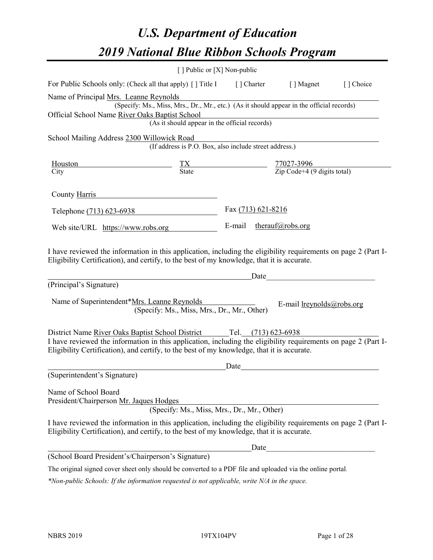# *U.S. Department of Education 2019 National Blue Ribbon Schools Program*

|                                                                                                                                                                                                                                                                                        | [] Public or [X] Non-public                                                                                                                                  |                    |                         |                                  |
|----------------------------------------------------------------------------------------------------------------------------------------------------------------------------------------------------------------------------------------------------------------------------------------|--------------------------------------------------------------------------------------------------------------------------------------------------------------|--------------------|-------------------------|----------------------------------|
| For Public Schools only: (Check all that apply) [] Title I [] Charter [] Magnet                                                                                                                                                                                                        |                                                                                                                                                              |                    |                         | [] Choice                        |
| Name of Principal Mrs. Leanne Reynolds<br>Official School Name River Oaks Baptist School                                                                                                                                                                                               | (Specify: Ms., Miss, Mrs., Dr., Mr., etc.) (As it should appear in the official records)<br>Solution School<br>(As it should appear in the official records) |                    |                         |                                  |
| School Mailing Address 2300 Willowick Road                                                                                                                                                                                                                                             | (If address is P.O. Box, also include street address.)                                                                                                       |                    |                         |                                  |
| Houston $\frac{TX}{C_{\text{itv}}}$ $\frac{TX}{\text{State}}$ $\frac{77027-3996}{Zip \text{ Code}+4 (9 \text{ digits total})}$                                                                                                                                                         |                                                                                                                                                              |                    |                         |                                  |
| County Harris                                                                                                                                                                                                                                                                          |                                                                                                                                                              |                    |                         |                                  |
| Telephone (713) 623-6938                                                                                                                                                                                                                                                               |                                                                                                                                                              | Fax (713) 621-8216 |                         |                                  |
| Web site/URL https://www.robs.org                                                                                                                                                                                                                                                      |                                                                                                                                                              |                    | E-mail therauf@robs.org |                                  |
| I have reviewed the information in this application, including the eligibility requirements on page 2 (Part I-<br>Eligibility Certification), and certify, to the best of my knowledge, that it is accurate.<br>(Principal's Signature)<br>Name of Superintendent*Mrs. Leanne Reynolds | (Specify: Ms., Miss, Mrs., Dr., Mr., Other)                                                                                                                  |                    | Date                    | E-mail <u>lreynolds@robs.org</u> |
| District Name River Oaks Baptist School District Tel. (713) 623-6938<br>I have reviewed the information in this application, including the eligibility requirements on page 2 (Part I-<br>Eligibility Certification), and certify, to the best of my knowledge, that it is accurate.   |                                                                                                                                                              | Date               |                         |                                  |
| (Superintendent's Signature)                                                                                                                                                                                                                                                           |                                                                                                                                                              |                    |                         |                                  |
| Name of School Board<br>President/Chairperson Mr. Jaques Hodges                                                                                                                                                                                                                        | (Specify: Ms., Miss, Mrs., Dr., Mr., Other)                                                                                                                  |                    |                         |                                  |
| I have reviewed the information in this application, including the eligibility requirements on page 2 (Part I-<br>Eligibility Certification), and certify, to the best of my knowledge, that it is accurate.                                                                           |                                                                                                                                                              |                    |                         |                                  |
|                                                                                                                                                                                                                                                                                        |                                                                                                                                                              |                    | Date                    |                                  |
| (School Board President's/Chairperson's Signature)                                                                                                                                                                                                                                     |                                                                                                                                                              |                    |                         |                                  |
| The original signed cover sheet only should be converted to a PDF file and uploaded via the online portal.                                                                                                                                                                             |                                                                                                                                                              |                    |                         |                                  |

*\*Non-public Schools: If the information requested is not applicable, write N/A in the space.*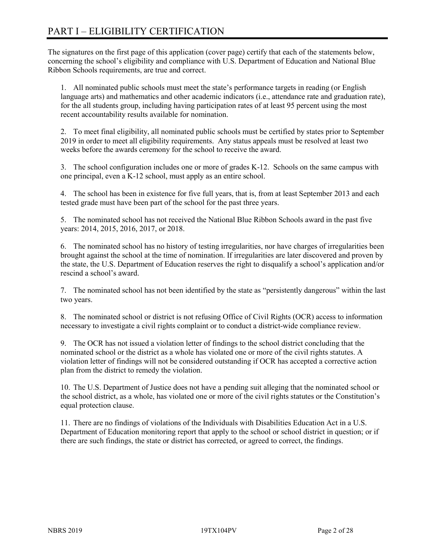# PART I – ELIGIBILITY CERTIFICATION

The signatures on the first page of this application (cover page) certify that each of the statements below, concerning the school's eligibility and compliance with U.S. Department of Education and National Blue Ribbon Schools requirements, are true and correct.

1. All nominated public schools must meet the state's performance targets in reading (or English language arts) and mathematics and other academic indicators (i.e., attendance rate and graduation rate), for the all students group, including having participation rates of at least 95 percent using the most recent accountability results available for nomination.

2. To meet final eligibility, all nominated public schools must be certified by states prior to September 2019 in order to meet all eligibility requirements. Any status appeals must be resolved at least two weeks before the awards ceremony for the school to receive the award.

3. The school configuration includes one or more of grades K-12. Schools on the same campus with one principal, even a K-12 school, must apply as an entire school.

4. The school has been in existence for five full years, that is, from at least September 2013 and each tested grade must have been part of the school for the past three years.

5. The nominated school has not received the National Blue Ribbon Schools award in the past five years: 2014, 2015, 2016, 2017, or 2018.

6. The nominated school has no history of testing irregularities, nor have charges of irregularities been brought against the school at the time of nomination. If irregularities are later discovered and proven by the state, the U.S. Department of Education reserves the right to disqualify a school's application and/or rescind a school's award.

7. The nominated school has not been identified by the state as "persistently dangerous" within the last two years.

8. The nominated school or district is not refusing Office of Civil Rights (OCR) access to information necessary to investigate a civil rights complaint or to conduct a district-wide compliance review.

9. The OCR has not issued a violation letter of findings to the school district concluding that the nominated school or the district as a whole has violated one or more of the civil rights statutes. A violation letter of findings will not be considered outstanding if OCR has accepted a corrective action plan from the district to remedy the violation.

10. The U.S. Department of Justice does not have a pending suit alleging that the nominated school or the school district, as a whole, has violated one or more of the civil rights statutes or the Constitution's equal protection clause.

11. There are no findings of violations of the Individuals with Disabilities Education Act in a U.S. Department of Education monitoring report that apply to the school or school district in question; or if there are such findings, the state or district has corrected, or agreed to correct, the findings.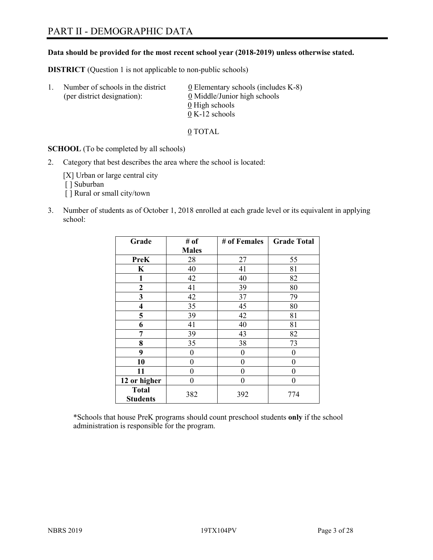# PART II - DEMOGRAPHIC DATA

#### **Data should be provided for the most recent school year (2018-2019) unless otherwise stated.**

**DISTRICT** (Question 1 is not applicable to non-public schools)

| Τ. | Number of schools in the district<br>(per district designation): | 0 Elementary schools (includes K-8)<br>0 Middle/Junior high schools |
|----|------------------------------------------------------------------|---------------------------------------------------------------------|
|    |                                                                  | 0 High schools                                                      |
|    |                                                                  | $0 K-12$ schools                                                    |

0 TOTAL

**SCHOOL** (To be completed by all schools)

2. Category that best describes the area where the school is located:

[X] Urban or large central city [ ] Suburban

- [] Rural or small city/town
- 3. Number of students as of October 1, 2018 enrolled at each grade level or its equivalent in applying school:

| Grade                           | # of         | # of Females     | <b>Grade Total</b> |
|---------------------------------|--------------|------------------|--------------------|
|                                 | <b>Males</b> |                  |                    |
| PreK                            | 28           | 27               | 55                 |
| K                               | 40           | 41               | 81                 |
| 1                               | 42           | 40               | 82                 |
| $\mathbf{2}$                    | 41           | 39               | 80                 |
| 3                               | 42           | 37               | 79                 |
| $\overline{\mathbf{4}}$         | 35           | 45               | 80                 |
| 5                               | 39           | 42               | 81                 |
| 6                               | 41           | 40               | 81                 |
| 7                               | 39           | 43               | 82                 |
| 8                               | 35           | 38               | 73                 |
| 9                               | 0            | $\theta$         | 0                  |
| 10                              | 0            | $\theta$         | 0                  |
| 11                              | 0            | $\boldsymbol{0}$ | 0                  |
| 12 or higher                    | 0            | $\theta$         | 0                  |
| <b>Total</b><br><b>Students</b> | 382          | 392              | 774                |

\*Schools that house PreK programs should count preschool students **only** if the school administration is responsible for the program.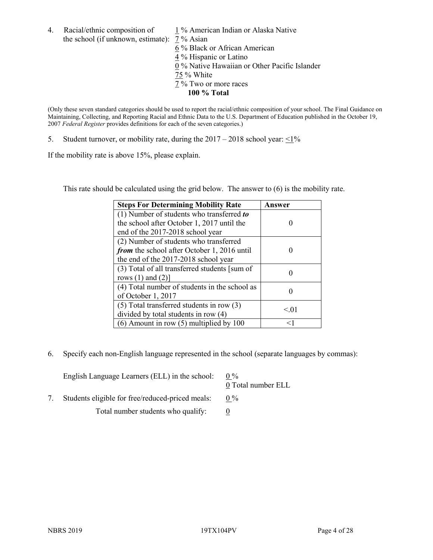4. Racial/ethnic composition of  $1\%$  American Indian or Alaska Native the school (if unknown, estimate): 7 % Asian

6 % Black or African American 4 % Hispanic or Latino  $\frac{0}{0}$ % Native Hawaiian or Other Pacific Islander 75 % White  $\overline{7}$ % Two or more races **100 % Total**

(Only these seven standard categories should be used to report the racial/ethnic composition of your school. The Final Guidance on Maintaining, Collecting, and Reporting Racial and Ethnic Data to the U.S. Department of Education published in the October 19, 2007 *Federal Register* provides definitions for each of the seven categories.)

5. Student turnover, or mobility rate, during the  $2017 - 2018$  school year:  $\leq 1\%$ 

If the mobility rate is above 15%, please explain.

This rate should be calculated using the grid below. The answer to (6) is the mobility rate.

| <b>Steps For Determining Mobility Rate</b>    | Answer |
|-----------------------------------------------|--------|
| $(1)$ Number of students who transferred to   |        |
| the school after October 1, 2017 until the    |        |
| end of the 2017-2018 school year              |        |
| (2) Number of students who transferred        |        |
| from the school after October 1, 2016 until   |        |
| the end of the 2017-2018 school year          |        |
| (3) Total of all transferred students [sum of |        |
| rows $(1)$ and $(2)$ ]                        |        |
| (4) Total number of students in the school as |        |
| of October 1, 2017                            |        |
| $(5)$ Total transferred students in row $(3)$ |        |
| divided by total students in row (4)          | < 0.01 |
| $(6)$ Amount in row $(5)$ multiplied by 100   |        |

6. Specify each non-English language represented in the school (separate languages by commas):

| English Language Learners (ELL) in the school:   | $0\%$<br>0 Total number ELL |
|--------------------------------------------------|-----------------------------|
| Students eligible for free/reduced-priced meals: | $0\%$                       |
| Total number students who qualify:               |                             |
|                                                  |                             |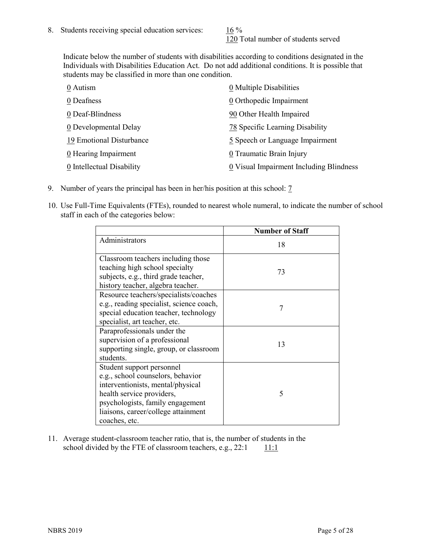120 Total number of students served

Indicate below the number of students with disabilities according to conditions designated in the Individuals with Disabilities Education Act. Do not add additional conditions. It is possible that students may be classified in more than one condition.

| 0 Autism                  | 0 Multiple Disabilities                 |
|---------------------------|-----------------------------------------|
| 0 Deafness                | 0 Orthopedic Impairment                 |
| 0 Deaf-Blindness          | 90 Other Health Impaired                |
| 0 Developmental Delay     | 78 Specific Learning Disability         |
| 19 Emotional Disturbance  | 5 Speech or Language Impairment         |
| 0 Hearing Impairment      | 0 Traumatic Brain Injury                |
| 0 Intellectual Disability | 0 Visual Impairment Including Blindness |

- 9. Number of years the principal has been in her/his position at this school: 7
- 10. Use Full-Time Equivalents (FTEs), rounded to nearest whole numeral, to indicate the number of school staff in each of the categories below:

|                                                                                                                                                                                                                              | <b>Number of Staff</b> |
|------------------------------------------------------------------------------------------------------------------------------------------------------------------------------------------------------------------------------|------------------------|
| Administrators                                                                                                                                                                                                               | 18                     |
| Classroom teachers including those<br>teaching high school specialty<br>subjects, e.g., third grade teacher,<br>history teacher, algebra teacher.                                                                            | 73                     |
| Resource teachers/specialists/coaches<br>e.g., reading specialist, science coach,<br>special education teacher, technology<br>specialist, art teacher, etc.                                                                  | 7                      |
| Paraprofessionals under the<br>supervision of a professional<br>supporting single, group, or classroom<br>students.                                                                                                          | 13                     |
| Student support personnel<br>e.g., school counselors, behavior<br>interventionists, mental/physical<br>health service providers,<br>psychologists, family engagement<br>liaisons, career/college attainment<br>coaches, etc. | 5                      |

11. Average student-classroom teacher ratio, that is, the number of students in the school divided by the FTE of classroom teachers, e.g.,  $22:1$  11:1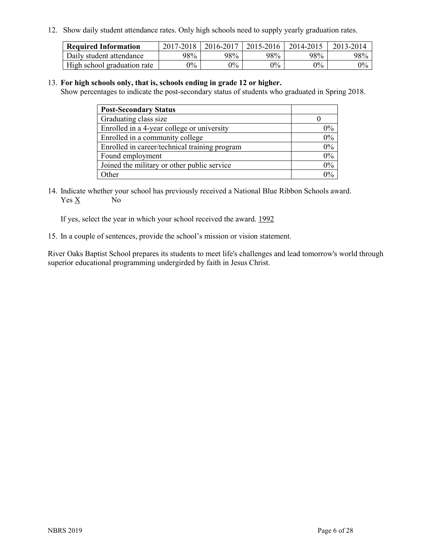12. Show daily student attendance rates. Only high schools need to supply yearly graduation rates.

| <b>Required Information</b> | 2017-2018 | 2016-2017 | 2015-2016 | 2014-2015 | 2013-2014 |
|-----------------------------|-----------|-----------|-----------|-----------|-----------|
| Daily student attendance    | 98%       | 98%       | 98%       | 98%       | 98%       |
| High school graduation rate | $0\%$     | $0\%$     | $0\%$     | $9\%$     | $0\%$     |

#### 13. **For high schools only, that is, schools ending in grade 12 or higher.**

Show percentages to indicate the post-secondary status of students who graduated in Spring 2018.

| <b>Post-Secondary Status</b>                  |           |
|-----------------------------------------------|-----------|
| Graduating class size                         |           |
| Enrolled in a 4-year college or university    | $0\%$     |
| Enrolled in a community college               | 0%        |
| Enrolled in career/technical training program | $0\%$     |
| Found employment                              | 0%        |
| Joined the military or other public service   | 0%        |
| Other                                         | በዓ $\sim$ |

14. Indicate whether your school has previously received a National Blue Ribbon Schools award. Yes X No

If yes, select the year in which your school received the award. 1992

15. In a couple of sentences, provide the school's mission or vision statement.

River Oaks Baptist School prepares its students to meet life's challenges and lead tomorrow's world through superior educational programming undergirded by faith in Jesus Christ.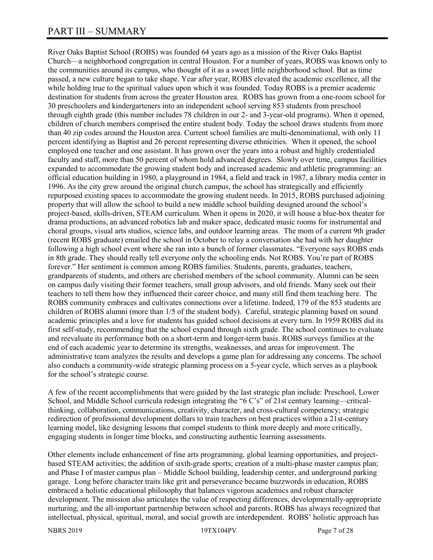# PART III – SUMMARY

River Oaks Baptist School (ROBS) was founded 64 years ago as a mission of the River Oaks Baptist Church—a neighborhood congregation in central Houston. For a number of years, ROBS was known only to the communities around its campus, who thought of it as a sweet little neighborhood school. But as time passed, a new culture began to take shape. Year after year, ROBS elevated the academic excellence, all the while holding true to the spiritual values upon which it was founded. Today ROBS is a premier academic destination for students from across the greater Houston area. ROBS has grown from a one-room school for 30 preschoolers and kindergarteners into an independent school serving 853 students from preschool through eighth grade (this number includes 78 children in our 2- and 3-year-old programs). When it opened, children of church members comprised the entire student body. Today the school draws students from more than 40 zip codes around the Houston area. Current school families are multi-denominational, with only 11 percent identifying as Baptist and 26 percent representing diverse ethnicities. When it opened, the school employed one teacher and one assistant. It has grown over the years into a robust and highly credentialed faculty and staff, more than 50 percent of whom hold advanced degrees. Slowly over time, campus facilities expanded to accommodate the growing student body and increased academic and athletic programming: an official education building in 1980, a playground in 1984, a field and track in 1987, a library media center in 1996. As the city grew around the original church campus, the school has strategically and efficiently repurposed existing spaces to accommodate the growing student needs. In 2015, ROBS purchased adjoining property that will allow the school to build a new middle school building designed around the school's project-based, skills-driven, STEAM curriculum. When it opens in 2020, it will house a blue-box theater for drama productions, an advanced robotics lab and maker space, dedicated music rooms for instrumental and choral groups, visual arts studios, science labs, and outdoor learning areas. The mom of a current 9th grader (recent ROBS graduate) emailed the school in October to relay a conversation she had with her daughter following a high school event where she ran into a bunch of former classmates. "Everyone says ROBS ends in 8th grade. They should really tell everyone only the schooling ends. Not ROBS. You're part of ROBS forever." Her sentiment is common among ROBS families. Students, parents, graduates, teachers, grandparents of students, and others are cherished members of the school community. Alumni can be seen on campus daily visiting their former teachers, small group advisors, and old friends. Many seek out their teachers to tell them how they influenced their career choice, and many still find them teaching here. The ROBS community embraces and cultivates connections over a lifetime. Indeed, 179 of the 853 students are children of ROBS alumni (more than 1/5 of the student body). Careful, strategic planning based on sound academic principles and a love for students has guided school decisions at every turn. In 1959 ROBS did its first self-study, recommending that the school expand through sixth grade. The school continues to evaluate and reevaluate its performance both on a short-term and longer-term basis. ROBS surveys families at the end of each academic year to determine its strengths, weaknesses, and areas for improvement. The administrative team analyzes the results and develops a game plan for addressing any concerns. The school also conducts a community-wide strategic planning process on a 5-year cycle, which serves as a playbook for the school's strategic course.

A few of the recent accomplishments that were guided by the last strategic plan include: Preschool, Lower School, and Middle School curricula redesign integrating the "6 C's" of 21st century learning—criticalthinking, collaboration, communications, creativity, character, and cross-cultural competency; strategic redirection of professional development dollars to train teachers on best practices within a 21st-century learning model, like designing lessons that compel students to think more deeply and more critically, engaging students in longer time blocks, and constructing authentic learning assessments.

Other elements include enhancement of fine arts programming, global learning opportunities, and projectbased STEAM activities; the addition of sixth-grade sports; creation of a multi-phase master campus plan; and Phase I of master campus plan – Middle School building, leadership center, and underground parking garage. Long before character traits like grit and perseverance became buzzwords in education, ROBS embraced a holistic educational philosophy that balances vigorous academics and robust character development. The mission also articulates the value of respecting differences, developmentally-appropriate nurturing, and the all-important partnership between school and parents. ROBS has always recognized that intellectual, physical, spiritual, moral, and social growth are interdependent. ROBS' holistic approach has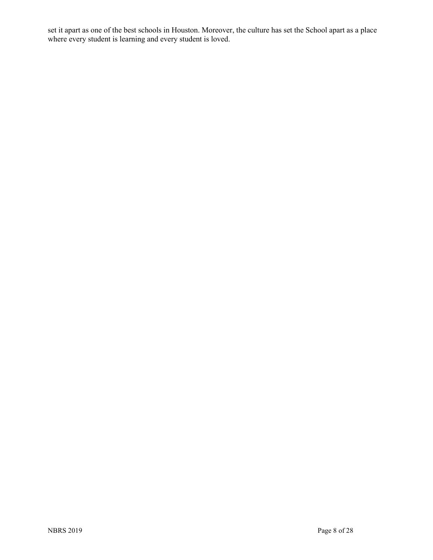set it apart as one of the best schools in Houston. Moreover, the culture has set the School apart as a place where every student is learning and every student is loved.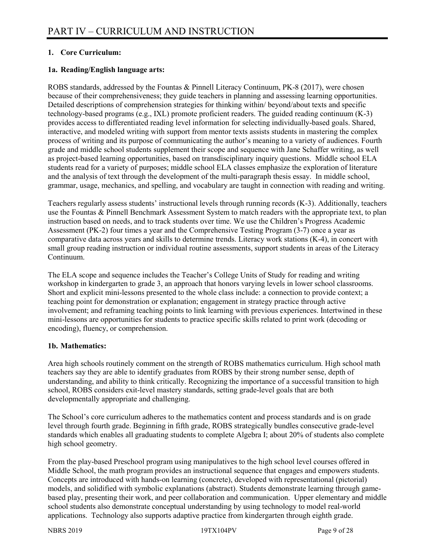#### **1. Core Curriculum:**

#### **1a. Reading/English language arts:**

ROBS standards, addressed by the Fountas & Pinnell Literacy Continuum, PK-8 (2017), were chosen because of their comprehensiveness; they guide teachers in planning and assessing learning opportunities. Detailed descriptions of comprehension strategies for thinking within/ beyond/about texts and specific technology-based programs (e.g., IXL) promote proficient readers. The guided reading continuum (K-3) provides access to differentiated reading level information for selecting individually-based goals. Shared, interactive, and modeled writing with support from mentor texts assists students in mastering the complex process of writing and its purpose of communicating the author's meaning to a variety of audiences. Fourth grade and middle school students supplement their scope and sequence with Jane Schaffer writing, as well as project-based learning opportunities, based on transdisciplinary inquiry questions. Middle school ELA students read for a variety of purposes; middle school ELA classes emphasize the exploration of literature and the analysis of text through the development of the multi-paragraph thesis essay. In middle school, grammar, usage, mechanics, and spelling, and vocabulary are taught in connection with reading and writing.

Teachers regularly assess students' instructional levels through running records (K-3). Additionally, teachers use the Fountas & Pinnell Benchmark Assessment System to match readers with the appropriate text, to plan instruction based on needs, and to track students over time. We use the Children's Progress Academic Assessment (PK-2) four times a year and the Comprehensive Testing Program (3-7) once a year as comparative data across years and skills to determine trends. Literacy work stations (K-4), in concert with small group reading instruction or individual routine assessments, support students in areas of the Literacy Continuum.

The ELA scope and sequence includes the Teacher's College Units of Study for reading and writing workshop in kindergarten to grade 3, an approach that honors varying levels in lower school classrooms. Short and explicit mini-lessons presented to the whole class include: a connection to provide context; a teaching point for demonstration or explanation; engagement in strategy practice through active involvement; and reframing teaching points to link learning with previous experiences. Intertwined in these mini-lessons are opportunities for students to practice specific skills related to print work (decoding or encoding), fluency, or comprehension.

#### **1b. Mathematics:**

Area high schools routinely comment on the strength of ROBS mathematics curriculum. High school math teachers say they are able to identify graduates from ROBS by their strong number sense, depth of understanding, and ability to think critically. Recognizing the importance of a successful transition to high school, ROBS considers exit-level mastery standards, setting grade-level goals that are both developmentally appropriate and challenging.

The School's core curriculum adheres to the mathematics content and process standards and is on grade level through fourth grade. Beginning in fifth grade, ROBS strategically bundles consecutive grade-level standards which enables all graduating students to complete Algebra I; about 20% of students also complete high school geometry.

From the play-based Preschool program using manipulatives to the high school level courses offered in Middle School, the math program provides an instructional sequence that engages and empowers students. Concepts are introduced with hands-on learning (concrete), developed with representational (pictorial) models, and solidified with symbolic explanations (abstract). Students demonstrate learning through gamebased play, presenting their work, and peer collaboration and communication. Upper elementary and middle school students also demonstrate conceptual understanding by using technology to model real-world applications. Technology also supports adaptive practice from kindergarten through eighth grade.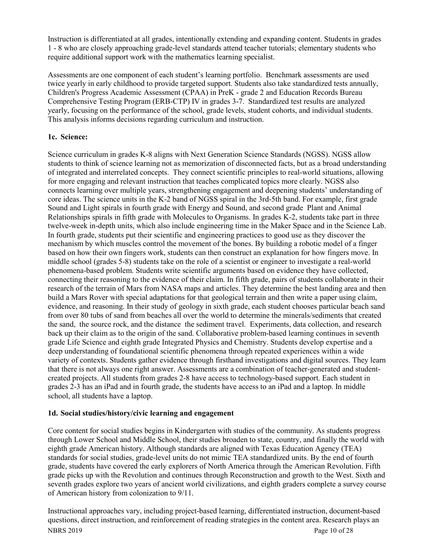Instruction is differentiated at all grades, intentionally extending and expanding content. Students in grades 1 - 8 who are closely approaching grade-level standards attend teacher tutorials; elementary students who require additional support work with the mathematics learning specialist.

Assessments are one component of each student's learning portfolio. Benchmark assessments are used twice yearly in early childhood to provide targeted support. Students also take standardized tests annually, Children's Progress Academic Assessment (CPAA) in PreK - grade 2 and Education Records Bureau Comprehensive Testing Program (ERB-CTP) IV in grades 3-7. Standardized test results are analyzed yearly, focusing on the performance of the school, grade levels, student cohorts, and individual students. This analysis informs decisions regarding curriculum and instruction.

#### **1c. Science:**

Science curriculum in grades K-8 aligns with Next Generation Science Standards (NGSS). NGSS allow students to think of science learning not as memorization of disconnected facts, but as a broad understanding of integrated and interrelated concepts. They connect scientific principles to real-world situations, allowing for more engaging and relevant instruction that teaches complicated topics more clearly. NGSS also connects learning over multiple years, strengthening engagement and deepening students' understanding of core ideas. The science units in the K-2 band of NGSS spiral in the 3rd-5th band. For example, first grade Sound and Light spirals in fourth grade with Energy and Sound, and second grade Plant and Animal Relationships spirals in fifth grade with Molecules to Organisms. In grades K-2, students take part in three twelve-week in-depth units, which also include engineering time in the Maker Space and in the Science Lab. In fourth grade, students put their scientific and engineering practices to good use as they discover the mechanism by which muscles control the movement of the bones. By building a robotic model of a finger based on how their own fingers work, students can then construct an explanation for how fingers move. In middle school (grades 5-8) students take on the role of a scientist or engineer to investigate a real-world phenomena-based problem. Students write scientific arguments based on evidence they have collected, connecting their reasoning to the evidence of their claim. In fifth grade, pairs of students collaborate in their research of the terrain of Mars from NASA maps and articles. They determine the best landing area and then build a Mars Rover with special adaptations for that geological terrain and then write a paper using claim, evidence, and reasoning. In their study of geology in sixth grade, each student chooses particular beach sand from over 80 tubs of sand from beaches all over the world to determine the minerals/sediments that created the sand, the source rock, and the distance the sediment travel. Experiments, data collection, and research back up their claim as to the origin of the sand. Collaborative problem-based learning continues in seventh grade Life Science and eighth grade Integrated Physics and Chemistry. Students develop expertise and a deep understanding of foundational scientific phenomena through repeated experiences within a wide variety of contexts. Students gather evidence through firsthand investigations and digital sources. They learn that there is not always one right answer. Assessments are a combination of teacher-generated and studentcreated projects. All students from grades 2-8 have access to technology-based support. Each student in grades 2-3 has an iPad and in fourth grade, the students have access to an iPad and a laptop. In middle school, all students have a laptop.

#### **1d. Social studies/history/civic learning and engagement**

Core content for social studies begins in Kindergarten with studies of the community. As students progress through Lower School and Middle School, their studies broaden to state, country, and finally the world with eighth grade American history. Although standards are aligned with Texas Education Agency (TEA) standards for social studies, grade-level units do not mimic TEA standardized units. By the end of fourth grade, students have covered the early explorers of North America through the American Revolution. Fifth grade picks up with the Revolution and continues through Reconstruction and growth to the West. Sixth and seventh grades explore two years of ancient world civilizations, and eighth graders complete a survey course of American history from colonization to 9/11.

NBRS 2019 Page 10 of 28 Instructional approaches vary, including project-based learning, differentiated instruction, document-based questions, direct instruction, and reinforcement of reading strategies in the content area. Research plays an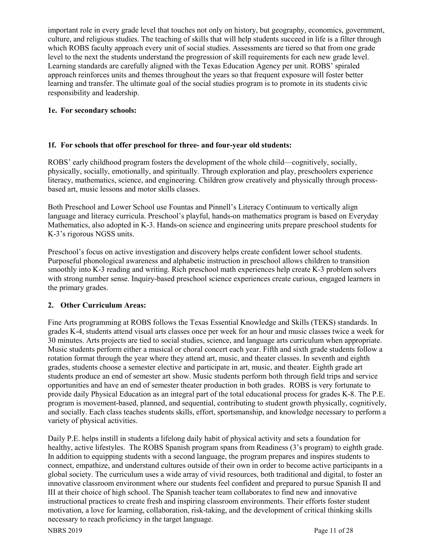important role in every grade level that touches not only on history, but geography, economics, government, culture, and religious studies. The teaching of skills that will help students succeed in life is a filter through which ROBS faculty approach every unit of social studies. Assessments are tiered so that from one grade level to the next the students understand the progression of skill requirements for each new grade level. Learning standards are carefully aligned with the Texas Education Agency per unit. ROBS' spiraled approach reinforces units and themes throughout the years so that frequent exposure will foster better learning and transfer. The ultimate goal of the social studies program is to promote in its students civic responsibility and leadership.

#### **1e. For secondary schools:**

#### **1f. For schools that offer preschool for three- and four-year old students:**

ROBS' early childhood program fosters the development of the whole child—cognitively, socially, physically, socially, emotionally, and spiritually. Through exploration and play, preschoolers experience literacy, mathematics, science, and engineering. Children grow creatively and physically through processbased art, music lessons and motor skills classes.

Both Preschool and Lower School use Fountas and Pinnell's Literacy Continuum to vertically align language and literacy curricula. Preschool's playful, hands-on mathematics program is based on Everyday Mathematics, also adopted in K-3. Hands-on science and engineering units prepare preschool students for K-3's rigorous NGSS units.

Preschool's focus on active investigation and discovery helps create confident lower school students. Purposeful phonological awareness and alphabetic instruction in preschool allows children to transition smoothly into K-3 reading and writing. Rich preschool math experiences help create K-3 problem solvers with strong number sense. Inquiry-based preschool science experiences create curious, engaged learners in the primary grades.

#### **2. Other Curriculum Areas:**

Fine Arts programming at ROBS follows the Texas Essential Knowledge and Skills (TEKS) standards. In grades K-4, students attend visual arts classes once per week for an hour and music classes twice a week for 30 minutes. Arts projects are tied to social studies, science, and language arts curriculum when appropriate. Music students perform either a musical or choral concert each year. Fifth and sixth grade students follow a rotation format through the year where they attend art, music, and theater classes. In seventh and eighth grades, students choose a semester elective and participate in art, music, and theater. Eighth grade art students produce an end of semester art show. Music students perform both through field trips and service opportunities and have an end of semester theater production in both grades. ROBS is very fortunate to provide daily Physical Education as an integral part of the total educational process for grades K-8. The P.E. program is movement-based, planned, and sequential, contributing to student growth physically, cognitively, and socially. Each class teaches students skills, effort, sportsmanship, and knowledge necessary to perform a variety of physical activities.

Daily P.E. helps instill in students a lifelong daily habit of physical activity and sets a foundation for healthy, active lifestyles. The ROBS Spanish program spans from Readiness (3's program) to eighth grade. In addition to equipping students with a second language, the program prepares and inspires students to connect, empathize, and understand cultures outside of their own in order to become active participants in a global society. The curriculum uses a wide array of vivid resources, both traditional and digital, to foster an innovative classroom environment where our students feel confident and prepared to pursue Spanish II and III at their choice of high school. The Spanish teacher team collaborates to find new and innovative instructional practices to create fresh and inspiring classroom environments. Their efforts foster student motivation, a love for learning, collaboration, risk-taking, and the development of critical thinking skills necessary to reach proficiency in the target language.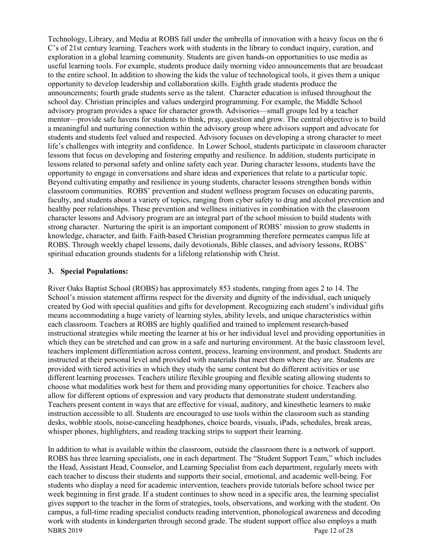Technology, Library, and Media at ROBS fall under the umbrella of innovation with a heavy focus on the 6 C's of 21st century learning. Teachers work with students in the library to conduct inquiry, curation, and exploration in a global learning community. Students are given hands-on opportunities to use media as useful learning tools. For example, students produce daily morning video announcements that are broadcast to the entire school. In addition to showing the kids the value of technological tools, it gives them a unique opportunity to develop leadership and collaboration skills. Eighth grade students produce the announcements; fourth grade students serve as the talent. Character education is infused throughout the school day. Christian principles and values undergird programming. For example, the Middle School advisory program provides a space for character growth. Advisories—small groups led by a teacher mentor—provide safe havens for students to think, pray, question and grow. The central objective is to build a meaningful and nurturing connection within the advisory group where advisors support and advocate for students and students feel valued and respected. Advisory focuses on developing a strong character to meet life's challenges with integrity and confidence. In Lower School, students participate in classroom character lessons that focus on developing and fostering empathy and resilience. In addition, students participate in lessons related to personal safety and online safety each year. During character lessons, students have the opportunity to engage in conversations and share ideas and experiences that relate to a particular topic. Beyond cultivating empathy and resilience in young students, character lessons strengthen bonds within classroom communities. ROBS' prevention and student wellness program focuses on educating parents, faculty, and students about a variety of topics, ranging from cyber safety to drug and alcohol prevention and healthy peer relationships. These prevention and wellness initiatives in combination with the classroom character lessons and Advisory program are an integral part of the school mission to build students with strong character. Nurturing the spirit is an important component of ROBS' mission to grow students in knowledge, character, and faith. Faith-based Christian programming therefore permeates campus life at ROBS. Through weekly chapel lessons, daily devotionals, Bible classes, and advisory lessons, ROBS' spiritual education grounds students for a lifelong relationship with Christ.

#### **3. Special Populations:**

River Oaks Baptist School (ROBS) has approximately 853 students, ranging from ages 2 to 14. The School's mission statement affirms respect for the diversity and dignity of the individual, each uniquely created by God with special qualities and gifts for development. Recognizing each student's individual gifts means accommodating a huge variety of learning styles, ability levels, and unique characteristics within each classroom. Teachers at ROBS are highly qualified and trained to implement research-based instructional strategies while meeting the learner at his or her individual level and providing opportunities in which they can be stretched and can grow in a safe and nurturing environment. At the basic classroom level, teachers implement differentiation across content, process, learning environment, and product. Students are instructed at their personal level and provided with materials that meet them where they are. Students are provided with tiered activities in which they study the same content but do different activities or use different learning processes. Teachers utilize flexible grouping and flexible seating allowing students to choose what modalities work best for them and providing many opportunities for choice. Teachers also allow for different options of expression and vary products that demonstrate student understanding. Teachers present content in ways that are effective for visual, auditory, and kinesthetic learners to make instruction accessible to all. Students are encouraged to use tools within the classroom such as standing desks, wobble stools, noise-canceling headphones, choice boards, visuals, iPads, schedules, break areas, whisper phones, highlighters, and reading tracking strips to support their learning.

NBRS 2019 Page 12 of 28 In addition to what is available within the classroom, outside the classroom there is a network of support. ROBS has three learning specialists, one in each department. The "Student Support Team," which includes the Head, Assistant Head, Counselor, and Learning Specialist from each department, regularly meets with each teacher to discuss their students and supports their social, emotional, and academic well-being. For students who display a need for academic intervention, teachers provide tutorials before school twice per week beginning in first grade. If a student continues to show need in a specific area, the learning specialist gives support to the teacher in the form of strategies, tools, observations, and working with the student. On campus, a full-time reading specialist conducts reading intervention, phonological awareness and decoding work with students in kindergarten through second grade. The student support office also employs a math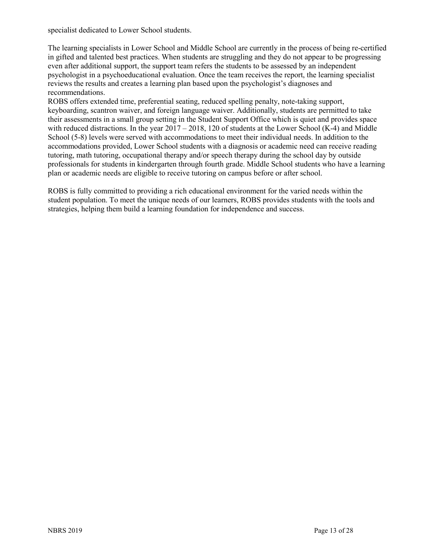specialist dedicated to Lower School students.

The learning specialists in Lower School and Middle School are currently in the process of being re-certified in gifted and talented best practices. When students are struggling and they do not appear to be progressing even after additional support, the support team refers the students to be assessed by an independent psychologist in a psychoeducational evaluation. Once the team receives the report, the learning specialist reviews the results and creates a learning plan based upon the psychologist's diagnoses and recommendations.

ROBS offers extended time, preferential seating, reduced spelling penalty, note-taking support, keyboarding, scantron waiver, and foreign language waiver. Additionally, students are permitted to take their assessments in a small group setting in the Student Support Office which is quiet and provides space with reduced distractions. In the year 2017 – 2018, 120 of students at the Lower School (K-4) and Middle School (5-8) levels were served with accommodations to meet their individual needs. In addition to the accommodations provided, Lower School students with a diagnosis or academic need can receive reading tutoring, math tutoring, occupational therapy and/or speech therapy during the school day by outside professionals for students in kindergarten through fourth grade. Middle School students who have a learning plan or academic needs are eligible to receive tutoring on campus before or after school.

ROBS is fully committed to providing a rich educational environment for the varied needs within the student population. To meet the unique needs of our learners, ROBS provides students with the tools and strategies, helping them build a learning foundation for independence and success.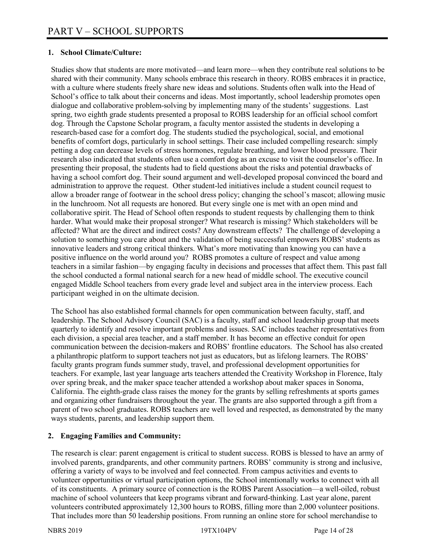#### **1. School Climate/Culture:**

Studies show that students are more motivated—and learn more—when they contribute real solutions to be shared with their community. Many schools embrace this research in theory. ROBS embraces it in practice, with a culture where students freely share new ideas and solutions. Students often walk into the Head of School's office to talk about their concerns and ideas. Most importantly, school leadership promotes open dialogue and collaborative problem-solving by implementing many of the students' suggestions. Last spring, two eighth grade students presented a proposal to ROBS leadership for an official school comfort dog. Through the Capstone Scholar program, a faculty mentor assisted the students in developing a research-based case for a comfort dog. The students studied the psychological, social, and emotional benefits of comfort dogs, particularly in school settings. Their case included compelling research: simply petting a dog can decrease levels of stress hormones, regulate breathing, and lower blood pressure. Their research also indicated that students often use a comfort dog as an excuse to visit the counselor's office. In presenting their proposal, the students had to field questions about the risks and potential drawbacks of having a school comfort dog. Their sound argument and well-developed proposal convinced the board and administration to approve the request. Other student-led initiatives include a student council request to allow a broader range of footwear in the school dress policy; changing the school's mascot; allowing music in the lunchroom. Not all requests are honored. But every single one is met with an open mind and collaborative spirit. The Head of School often responds to student requests by challenging them to think harder. What would make their proposal stronger? What research is missing? Which stakeholders will be affected? What are the direct and indirect costs? Any downstream effects? The challenge of developing a solution to something you care about and the validation of being successful empowers ROBS' students as innovative leaders and strong critical thinkers. What's more motivating than knowing you can have a positive influence on the world around you? ROBS promotes a culture of respect and value among teachers in a similar fashion—by engaging faculty in decisions and processes that affect them. This past fall the school conducted a formal national search for a new head of middle school. The executive council engaged Middle School teachers from every grade level and subject area in the interview process. Each participant weighed in on the ultimate decision.

The School has also established formal channels for open communication between faculty, staff, and leadership. The School Advisory Council (SAC) is a faculty, staff and school leadership group that meets quarterly to identify and resolve important problems and issues. SAC includes teacher representatives from each division, a special area teacher, and a staff member. It has become an effective conduit for open communication between the decision-makers and ROBS' frontline educators. The School has also created a philanthropic platform to support teachers not just as educators, but as lifelong learners. The ROBS' faculty grants program funds summer study, travel, and professional development opportunities for teachers. For example, last year language arts teachers attended the Creativity Workshop in Florence, Italy over spring break, and the maker space teacher attended a workshop about maker spaces in Sonoma, California. The eighth-grade class raises the money for the grants by selling refreshments at sports games and organizing other fundraisers throughout the year. The grants are also supported through a gift from a parent of two school graduates. ROBS teachers are well loved and respected, as demonstrated by the many ways students, parents, and leadership support them.

#### **2. Engaging Families and Community:**

The research is clear: parent engagement is critical to student success. ROBS is blessed to have an army of involved parents, grandparents, and other community partners. ROBS' community is strong and inclusive, offering a variety of ways to be involved and feel connected. From campus activities and events to volunteer opportunities or virtual participation options, the School intentionally works to connect with all of its constituents. A primary source of connection is the ROBS Parent Association—a well-oiled, robust machine of school volunteers that keep programs vibrant and forward-thinking. Last year alone, parent volunteers contributed approximately 12,300 hours to ROBS, filling more than 2,000 volunteer positions. That includes more than 50 leadership positions. From running an online store for school merchandise to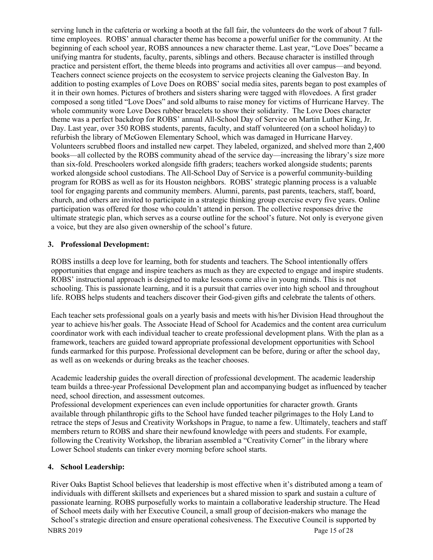serving lunch in the cafeteria or working a booth at the fall fair, the volunteers do the work of about 7 fulltime employees. ROBS' annual character theme has become a powerful unifier for the community. At the beginning of each school year, ROBS announces a new character theme. Last year, "Love Does" became a unifying mantra for students, faculty, parents, siblings and others. Because character is instilled through practice and persistent effort, the theme bleeds into programs and activities all over campus—and beyond. Teachers connect science projects on the ecosystem to service projects cleaning the Galveston Bay. In addition to posting examples of Love Does on ROBS' social media sites, parents began to post examples of it in their own homes. Pictures of brothers and sisters sharing were tagged with #lovedoes. A first grader composed a song titled "Love Does" and sold albums to raise money for victims of Hurricane Harvey. The whole community wore Love Does rubber bracelets to show their solidarity. The Love Does character theme was a perfect backdrop for ROBS' annual All-School Day of Service on Martin Luther King, Jr. Day. Last year, over 350 ROBS students, parents, faculty, and staff volunteered (on a school holiday) to refurbish the library of McGowen Elementary School, which was damaged in Hurricane Harvey. Volunteers scrubbed floors and installed new carpet. They labeled, organized, and shelved more than 2,400 books—all collected by the ROBS community ahead of the service day—increasing the library's size more than six-fold. Preschoolers worked alongside fifth graders; teachers worked alongside students; parents worked alongside school custodians. The All-School Day of Service is a powerful community-building program for ROBS as well as for its Houston neighbors. ROBS' strategic planning process is a valuable tool for engaging parents and community members. Alumni, parents, past parents, teachers, staff, board, church, and others are invited to participate in a strategic thinking group exercise every five years. Online participation was offered for those who couldn't attend in person. The collective responses drive the ultimate strategic plan, which serves as a course outline for the school's future. Not only is everyone given a voice, but they are also given ownership of the school's future.

#### **3. Professional Development:**

ROBS instills a deep love for learning, both for students and teachers. The School intentionally offers opportunities that engage and inspire teachers as much as they are expected to engage and inspire students. ROBS' instructional approach is designed to make lessons come alive in young minds. This is not schooling. This is passionate learning, and it is a pursuit that carries over into high school and throughout life. ROBS helps students and teachers discover their God-given gifts and celebrate the talents of others.

Each teacher sets professional goals on a yearly basis and meets with his/her Division Head throughout the year to achieve his/her goals. The Associate Head of School for Academics and the content area curriculum coordinator work with each individual teacher to create professional development plans. With the plan as a framework, teachers are guided toward appropriate professional development opportunities with School funds earmarked for this purpose. Professional development can be before, during or after the school day, as well as on weekends or during breaks as the teacher chooses.

Academic leadership guides the overall direction of professional development. The academic leadership team builds a three-year Professional Development plan and accompanying budget as influenced by teacher need, school direction, and assessment outcomes.

Professional development experiences can even include opportunities for character growth. Grants available through philanthropic gifts to the School have funded teacher pilgrimages to the Holy Land to retrace the steps of Jesus and Creativity Workshops in Prague, to name a few. Ultimately, teachers and staff members return to ROBS and share their newfound knowledge with peers and students. For example, following the Creativity Workshop, the librarian assembled a "Creativity Corner" in the library where Lower School students can tinker every morning before school starts.

#### **4. School Leadership:**

River Oaks Baptist School believes that leadership is most effective when it's distributed among a team of individuals with different skillsets and experiences but a shared mission to spark and sustain a culture of passionate learning. ROBS purposefully works to maintain a collaborative leadership structure. The Head of School meets daily with her Executive Council, a small group of decision-makers who manage the School's strategic direction and ensure operational cohesiveness. The Executive Council is supported by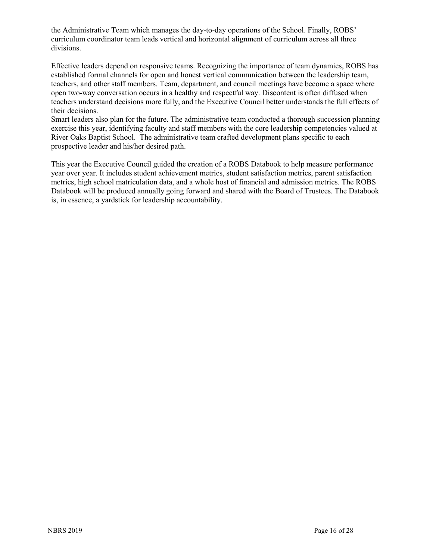the Administrative Team which manages the day-to-day operations of the School. Finally, ROBS' curriculum coordinator team leads vertical and horizontal alignment of curriculum across all three divisions.

Effective leaders depend on responsive teams. Recognizing the importance of team dynamics, ROBS has established formal channels for open and honest vertical communication between the leadership team, teachers, and other staff members. Team, department, and council meetings have become a space where open two-way conversation occurs in a healthy and respectful way. Discontent is often diffused when teachers understand decisions more fully, and the Executive Council better understands the full effects of their decisions.

Smart leaders also plan for the future. The administrative team conducted a thorough succession planning exercise this year, identifying faculty and staff members with the core leadership competencies valued at River Oaks Baptist School. The administrative team crafted development plans specific to each prospective leader and his/her desired path.

This year the Executive Council guided the creation of a ROBS Databook to help measure performance year over year. It includes student achievement metrics, student satisfaction metrics, parent satisfaction metrics, high school matriculation data, and a whole host of financial and admission metrics. The ROBS Databook will be produced annually going forward and shared with the Board of Trustees. The Databook is, in essence, a yardstick for leadership accountability.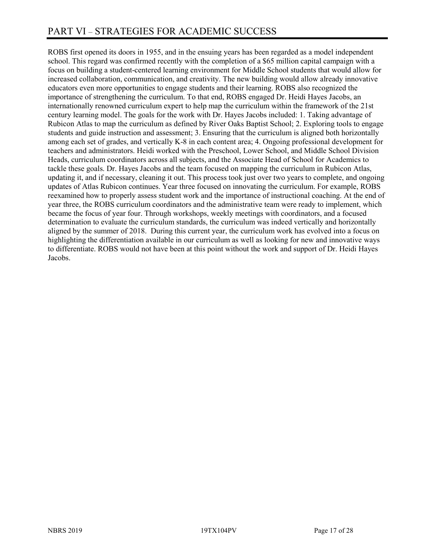ROBS first opened its doors in 1955, and in the ensuing years has been regarded as a model independent school. This regard was confirmed recently with the completion of a \$65 million capital campaign with a focus on building a student-centered learning environment for Middle School students that would allow for increased collaboration, communication, and creativity. The new building would allow already innovative educators even more opportunities to engage students and their learning. ROBS also recognized the importance of strengthening the curriculum. To that end, ROBS engaged Dr. Heidi Hayes Jacobs, an internationally renowned curriculum expert to help map the curriculum within the framework of the 21st century learning model. The goals for the work with Dr. Hayes Jacobs included: 1. Taking advantage of Rubicon Atlas to map the curriculum as defined by River Oaks Baptist School; 2. Exploring tools to engage students and guide instruction and assessment; 3. Ensuring that the curriculum is aligned both horizontally among each set of grades, and vertically K-8 in each content area; 4. Ongoing professional development for teachers and administrators. Heidi worked with the Preschool, Lower School, and Middle School Division Heads, curriculum coordinators across all subjects, and the Associate Head of School for Academics to tackle these goals. Dr. Hayes Jacobs and the team focused on mapping the curriculum in Rubicon Atlas, updating it, and if necessary, cleaning it out. This process took just over two years to complete, and ongoing updates of Atlas Rubicon continues. Year three focused on innovating the curriculum. For example, ROBS reexamined how to properly assess student work and the importance of instructional coaching. At the end of year three, the ROBS curriculum coordinators and the administrative team were ready to implement, which became the focus of year four. Through workshops, weekly meetings with coordinators, and a focused determination to evaluate the curriculum standards, the curriculum was indeed vertically and horizontally aligned by the summer of 2018. During this current year, the curriculum work has evolved into a focus on highlighting the differentiation available in our curriculum as well as looking for new and innovative ways to differentiate. ROBS would not have been at this point without the work and support of Dr. Heidi Hayes Jacobs.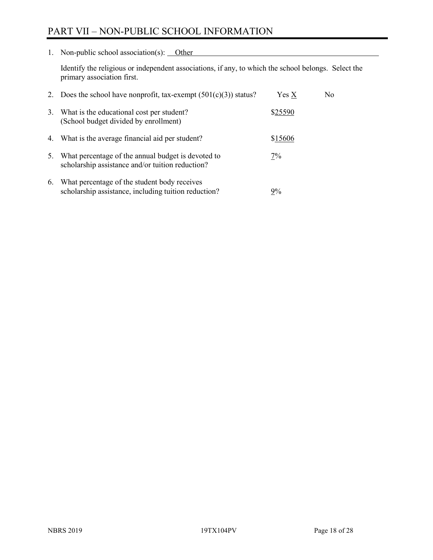# PART VII – NON-PUBLIC SCHOOL INFORMATION

1. Non-public school association(s): Other

Identify the religious or independent associations, if any, to which the school belongs. Select the primary association first.

| 2. | Does the school have nonprofit, tax-exempt $(501(c)(3))$ status?                                       | Yes X   | No. |
|----|--------------------------------------------------------------------------------------------------------|---------|-----|
| 3. | What is the educational cost per student?<br>(School budget divided by enrollment)                     | \$25590 |     |
|    | 4. What is the average financial aid per student?                                                      | \$15606 |     |
|    | What percentage of the annual budget is devoted to<br>scholarship assistance and/or tuition reduction? | 7%      |     |
| 6. | What percentage of the student body receives<br>scholarship assistance, including tuition reduction?   | 9%      |     |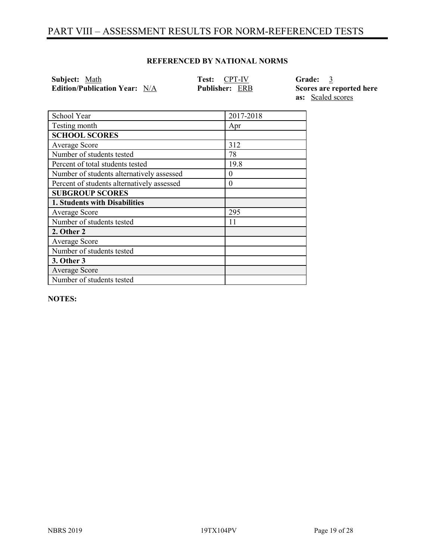## PART VIII – ASSESSMENT RESULTS FOR NORM-REFERENCED TESTS

#### **REFERENCED BY NATIONAL NORMS**

| Subject: Math                        | <b>Test: CPT-IV</b>   | Grade: 3                 |
|--------------------------------------|-----------------------|--------------------------|
| <b>Edition/Publication Year:</b> N/A | <b>Publisher: ERB</b> | Scores are reported here |
|                                      |                       | <b>as:</b> Scaled scores |

| School Year                                | 2017-2018 |
|--------------------------------------------|-----------|
| Testing month                              | Apr       |
| <b>SCHOOL SCORES</b>                       |           |
| <b>Average Score</b>                       | 312       |
| Number of students tested                  | 78        |
| Percent of total students tested           | 19.8      |
| Number of students alternatively assessed  | $\Omega$  |
| Percent of students alternatively assessed | $\theta$  |
| <b>SUBGROUP SCORES</b>                     |           |
| <b>1. Students with Disabilities</b>       |           |
| Average Score                              | 295       |
| Number of students tested                  | 11        |
| 2. Other 2                                 |           |
| <b>Average Score</b>                       |           |
| Number of students tested                  |           |
| 3. Other 3                                 |           |
| <b>Average Score</b>                       |           |
| Number of students tested                  |           |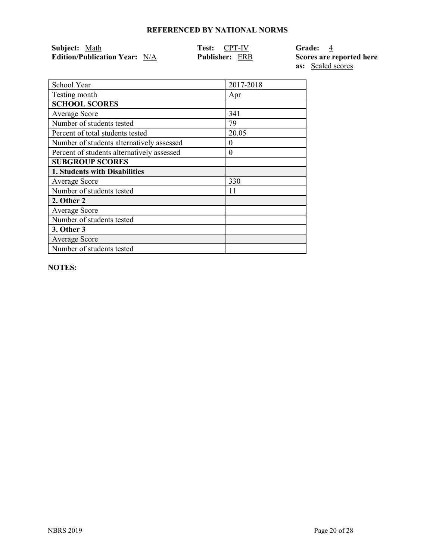| Subject: Math                        | <b>Test:</b> CPT-IV   | Grade: 4                 |
|--------------------------------------|-----------------------|--------------------------|
| <b>Edition/Publication Year:</b> N/A | <b>Publisher:</b> ERB | Scores are reported here |

**as:** Scaled scores

| School Year                                | 2017-2018 |
|--------------------------------------------|-----------|
| Testing month                              | Apr       |
| <b>SCHOOL SCORES</b>                       |           |
| Average Score                              | 341       |
| Number of students tested                  | 79        |
| Percent of total students tested           | 20.05     |
| Number of students alternatively assessed  | $\theta$  |
| Percent of students alternatively assessed | $\theta$  |
| <b>SUBGROUP SCORES</b>                     |           |
| 1. Students with Disabilities              |           |
| Average Score                              | 330       |
| Number of students tested                  | 11        |
| 2. Other 2                                 |           |
| Average Score                              |           |
| Number of students tested                  |           |
| 3. Other 3                                 |           |
| <b>Average Score</b>                       |           |
| Number of students tested                  |           |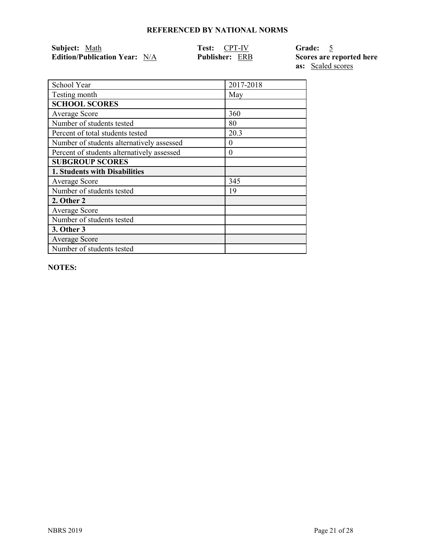| Subject: Math                        | <b>Test:</b> CPT-IV   | Grade: 5                 |
|--------------------------------------|-----------------------|--------------------------|
| <b>Edition/Publication Year:</b> N/A | <b>Publisher:</b> ERB | Scores are reported here |

**as:** Scaled scores

| School Year                                | 2017-2018 |
|--------------------------------------------|-----------|
| Testing month                              | May       |
| <b>SCHOOL SCORES</b>                       |           |
| Average Score                              | 360       |
| Number of students tested                  | 80        |
| Percent of total students tested           | 20.3      |
| Number of students alternatively assessed  | $\theta$  |
| Percent of students alternatively assessed | $\theta$  |
| <b>SUBGROUP SCORES</b>                     |           |
| 1. Students with Disabilities              |           |
| Average Score                              | 345       |
| Number of students tested                  | 19        |
| 2. Other 2                                 |           |
| Average Score                              |           |
| Number of students tested                  |           |
| 3. Other 3                                 |           |
| <b>Average Score</b>                       |           |
| Number of students tested                  |           |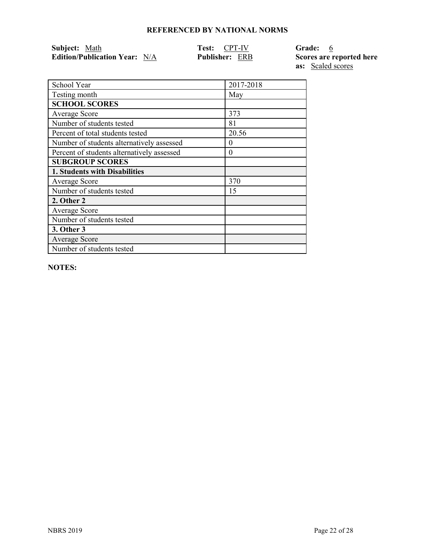| Subject: Math                        | <b>Test: CPT-IV</b>   | Grade: 6                 |
|--------------------------------------|-----------------------|--------------------------|
| <b>Edition/Publication Year:</b> N/A | <b>Publisher: ERB</b> | Scores are reported here |

**as:** Scaled scores

| School Year                                | 2017-2018 |
|--------------------------------------------|-----------|
| Testing month                              | May       |
| <b>SCHOOL SCORES</b>                       |           |
| Average Score                              | 373       |
| Number of students tested                  | 81        |
| Percent of total students tested           | 20.56     |
| Number of students alternatively assessed  | $\theta$  |
| Percent of students alternatively assessed | $\theta$  |
| <b>SUBGROUP SCORES</b>                     |           |
| 1. Students with Disabilities              |           |
| Average Score                              | 370       |
| Number of students tested                  | 15        |
| 2. Other 2                                 |           |
| Average Score                              |           |
| Number of students tested                  |           |
| 3. Other 3                                 |           |
| <b>Average Score</b>                       |           |
| Number of students tested                  |           |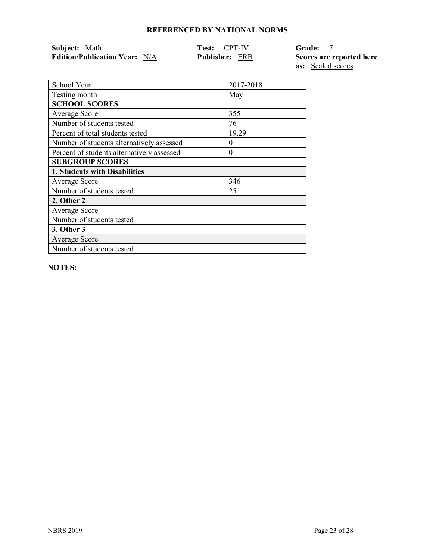| Subject: Math                        | <b>Test:</b> CPT-IV   | <b>Grade:</b>  |
|--------------------------------------|-----------------------|----------------|
| <b>Edition/Publication Year:</b> N/A | <b>Publisher: ERB</b> | Scores are rep |

**Ported here as:** Scaled scores

| School Year                                | 2017-2018 |
|--------------------------------------------|-----------|
| Testing month                              | May       |
| <b>SCHOOL SCORES</b>                       |           |
| Average Score                              | 355       |
| Number of students tested                  | 76        |
| Percent of total students tested           | 19.29     |
| Number of students alternatively assessed  | $\theta$  |
| Percent of students alternatively assessed | $\theta$  |
| <b>SUBGROUP SCORES</b>                     |           |
| <b>1. Students with Disabilities</b>       |           |
| Average Score                              | 346       |
| Number of students tested                  | 25        |
| 2. Other 2                                 |           |
| Average Score                              |           |
| Number of students tested                  |           |
| 3. Other 3                                 |           |
| <b>Average Score</b>                       |           |
| Number of students tested                  |           |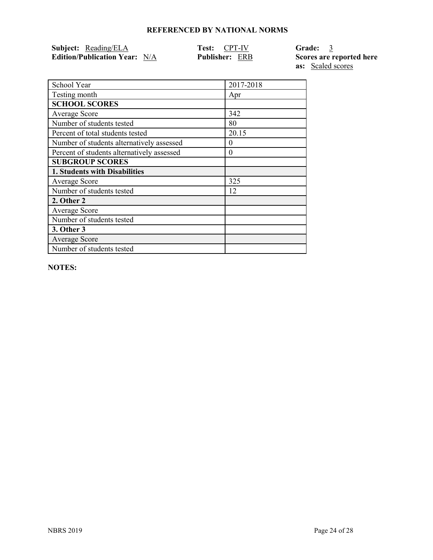| <b>Subject:</b> Reading/ELA          | <b>Test: CPT-IV</b>   | Grade: 3                 |
|--------------------------------------|-----------------------|--------------------------|
| <b>Edition/Publication Year:</b> N/A | <b>Publisher: ERB</b> | Scores are reported here |

**as:** Scaled scores

| School Year                                | 2017-2018 |
|--------------------------------------------|-----------|
| Testing month                              | Apr       |
| <b>SCHOOL SCORES</b>                       |           |
| Average Score                              | 342       |
| Number of students tested                  | 80        |
| Percent of total students tested           | 20.15     |
| Number of students alternatively assessed  | $\theta$  |
| Percent of students alternatively assessed | $\Omega$  |
| <b>SUBGROUP SCORES</b>                     |           |
| 1. Students with Disabilities              |           |
| Average Score                              | 325       |
| Number of students tested                  | 12        |
| 2. Other 2                                 |           |
| Average Score                              |           |
| Number of students tested                  |           |
| 3. Other 3                                 |           |
| <b>Average Score</b>                       |           |
| Number of students tested                  |           |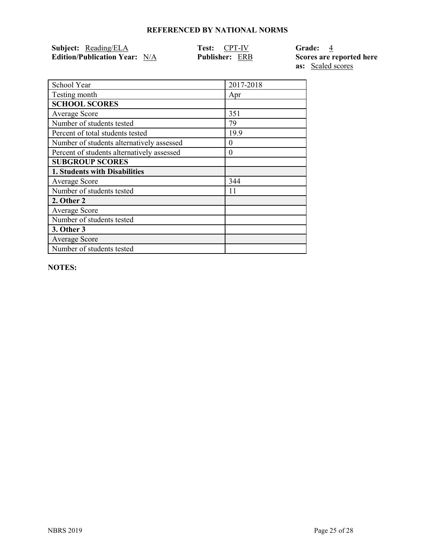| Subject: Reading/ELA                 | Test: CPT-IV          | Grade: 4                 |
|--------------------------------------|-----------------------|--------------------------|
| <b>Edition/Publication Year:</b> N/A | <b>Publisher: ERB</b> | Scores are reported here |

**as:** Scaled scores

| School Year                                | 2017-2018 |
|--------------------------------------------|-----------|
| Testing month                              | Apr       |
| <b>SCHOOL SCORES</b>                       |           |
| Average Score                              | 351       |
| Number of students tested                  | 79        |
| Percent of total students tested           | 19.9      |
| Number of students alternatively assessed  | $_{0}$    |
| Percent of students alternatively assessed | $\theta$  |
| <b>SUBGROUP SCORES</b>                     |           |
| 1. Students with Disabilities              |           |
| Average Score                              | 344       |
| Number of students tested                  | 11        |
| 2. Other 2                                 |           |
| Average Score                              |           |
| Number of students tested                  |           |
| 3. Other 3                                 |           |
| <b>Average Score</b>                       |           |
| Number of students tested                  |           |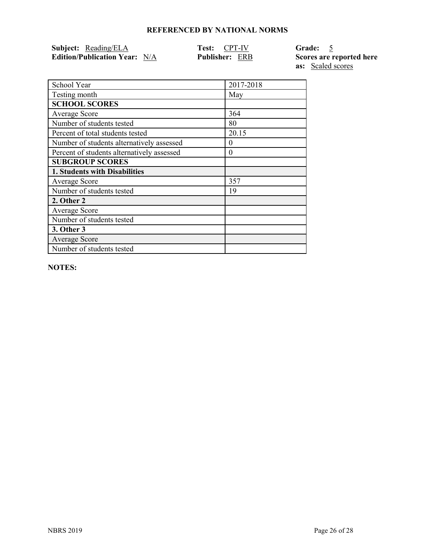| Subject: Reading/ELA                 | <b>Test: CPT-IV</b>   | Grade: 5                 |
|--------------------------------------|-----------------------|--------------------------|
| <b>Edition/Publication Year:</b> N/A | <b>Publisher: ERB</b> | Scores are reported here |

**as:** Scaled scores

| School Year                                | 2017-2018 |
|--------------------------------------------|-----------|
| Testing month                              | May       |
| <b>SCHOOL SCORES</b>                       |           |
| Average Score                              | 364       |
| Number of students tested                  | 80        |
| Percent of total students tested           | 20.15     |
| Number of students alternatively assessed  | $\theta$  |
| Percent of students alternatively assessed | $\Omega$  |
| <b>SUBGROUP SCORES</b>                     |           |
| 1. Students with Disabilities              |           |
| Average Score                              | 357       |
| Number of students tested                  | 19        |
| 2. Other 2                                 |           |
| Average Score                              |           |
| Number of students tested                  |           |
| 3. Other 3                                 |           |
| Average Score                              |           |
| Number of students tested                  |           |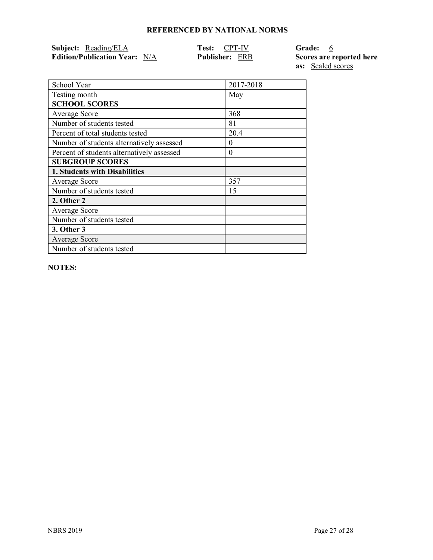| Subject: Reading/ELA                 | <b>Test: CPT-IV</b>   | Grade: 6                 |
|--------------------------------------|-----------------------|--------------------------|
| <b>Edition/Publication Year:</b> N/A | <b>Publisher: ERB</b> | Scores are reported here |

**as:** Scaled scores

| School Year                                | 2017-2018 |
|--------------------------------------------|-----------|
| Testing month                              | May       |
| <b>SCHOOL SCORES</b>                       |           |
| Average Score                              | 368       |
| Number of students tested                  | 81        |
| Percent of total students tested           | 20.4      |
| Number of students alternatively assessed  | $\theta$  |
| Percent of students alternatively assessed | $\theta$  |
| <b>SUBGROUP SCORES</b>                     |           |
| 1. Students with Disabilities              |           |
| Average Score                              | 357       |
| Number of students tested                  | 15        |
| 2. Other 2                                 |           |
| Average Score                              |           |
| Number of students tested                  |           |
| 3. Other 3                                 |           |
| <b>Average Score</b>                       |           |
| Number of students tested                  |           |